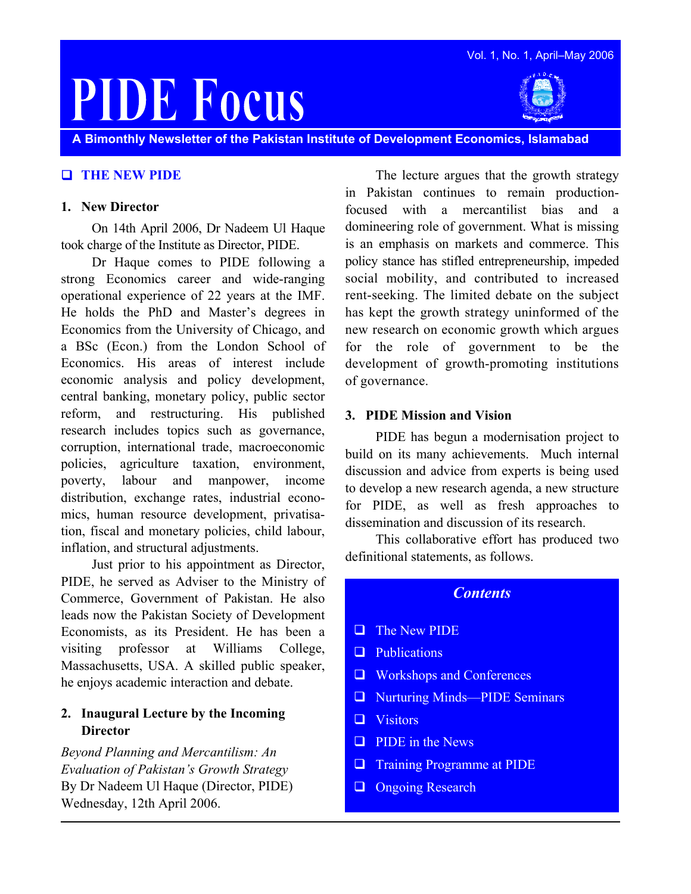

Vol. 1, No. 1, April–May 2006

**A Bimonthly Newsletter of the Pakistan Institute of Development Economics, Islamabad** 

## **THE NEW PIDE**

#### **1. New Director**

On 14th April 2006, Dr Nadeem Ul Haque took charge of the Institute as Director, PIDE.

Dr Haque comes to PIDE following a strong Economics career and wide-ranging operational experience of 22 years at the IMF. He holds the PhD and Master's degrees in Economics from the University of Chicago, and a BSc (Econ.) from the London School of Economics. His areas of interest include economic analysis and policy development, central banking, monetary policy, public sector reform, and restructuring. His published research includes topics such as governance, corruption, international trade, macroeconomic policies, agriculture taxation, environment, poverty, labour and manpower, income distribution, exchange rates, industrial economics, human resource development, privatisation, fiscal and monetary policies, child labour, inflation, and structural adjustments.

Just prior to his appointment as Director, PIDE, he served as Adviser to the Ministry of Commerce, Government of Pakistan. He also leads now the Pakistan Society of Development Economists, as its President. He has been a visiting professor at Williams College, Massachusetts, USA. A skilled public speaker, he enjoys academic interaction and debate.

### **2. Inaugural Lecture by the Incoming Director**

*Beyond Planning and Mercantilism: An Evaluation of Pakistan's Growth Strategy*  By Dr Nadeem Ul Haque (Director, PIDE) Wednesday, 12th April 2006.

The lecture argues that the growth strategy in Pakistan continues to remain productionfocused with a mercantilist bias and a domineering role of government. What is missing is an emphasis on markets and commerce. This policy stance has stifled entrepreneurship, impeded social mobility, and contributed to increased rent-seeking. The limited debate on the subject has kept the growth strategy uninformed of the new research on economic growth which argues for the role of government to be the development of growth-promoting institutions of governance.

#### **3. PIDE Mission and Vision**

PIDE has begun a modernisation project to build on its many achievements. Much internal discussion and advice from experts is being used to develop a new research agenda, a new structure for PIDE, as well as fresh approaches to dissemination and discussion of its research.

This collaborative effort has produced two definitional statements, as follows.

### *Contents*

- **The New PIDE**
- **Publications**
- **□** Workshops and Conferences
- □ Nurturing Minds—PIDE Seminars
- **U** Visitors
- $\Box$  PIDE in the News
- **Training Programme at PIDE**
- **Q** Ongoing Research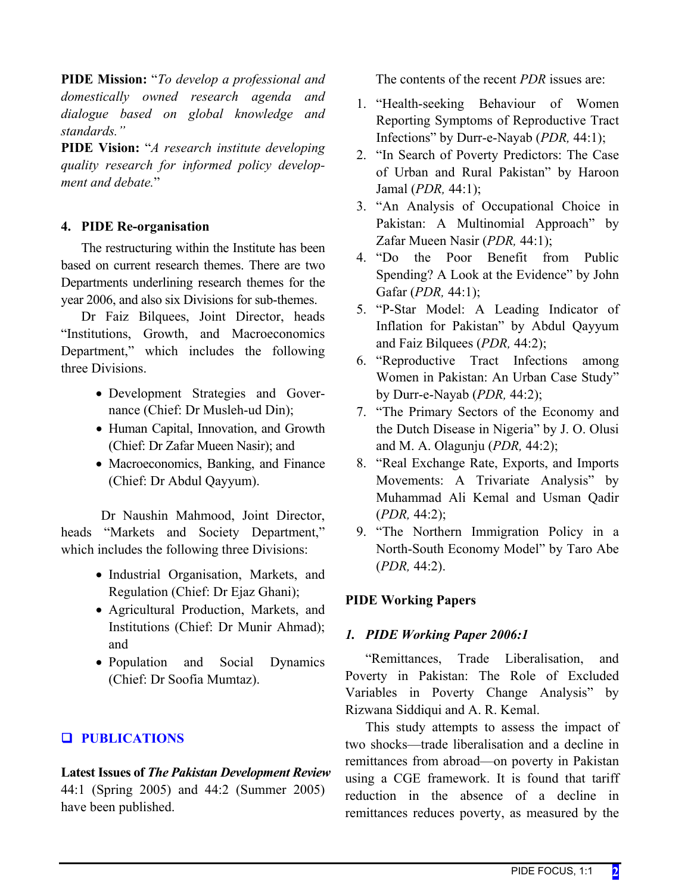**PIDE Mission:** "*To develop a professional and domestically owned research agenda and dialogue based on global knowledge and standards."*

**PIDE Vision:** "*A research institute developing quality research for informed policy development and debate.*"

## **4. PIDE Re-organisation**

The restructuring within the Institute has been based on current research themes. There are two Departments underlining research themes for the year 2006, and also six Divisions for sub-themes.

Dr Faiz Bilquees, Joint Director, heads "Institutions, Growth, and Macroeconomics Department," which includes the following three Divisions.

- Development Strategies and Governance (Chief: Dr Musleh-ud Din);
- Human Capital, Innovation, and Growth (Chief: Dr Zafar Mueen Nasir); and
- Macroeconomics, Banking, and Finance (Chief: Dr Abdul Qayyum).

Dr Naushin Mahmood, Joint Director, heads "Markets and Society Department," which includes the following three Divisions:

- Industrial Organisation, Markets, and Regulation (Chief: Dr Ejaz Ghani);
- Agricultural Production, Markets, and Institutions (Chief: Dr Munir Ahmad); and
- Population and Social Dynamics (Chief: Dr Soofia Mumtaz).

# **Q** PUBLICATIONS

**Latest Issues of** *The Pakistan Development Review* 44:1 (Spring 2005) and 44:2 (Summer 2005) have been published.

The contents of the recent *PDR* issues are:

- 1. "Health-seeking Behaviour of Women Reporting Symptoms of Reproductive Tract Infections" by Durr-e-Nayab (*PDR,* 44:1);
- 2. "In Search of Poverty Predictors: The Case of Urban and Rural Pakistan" by Haroon Jamal (*PDR,* 44:1);
- 3. "An Analysis of Occupational Choice in Pakistan: A Multinomial Approach" by Zafar Mueen Nasir (*PDR,* 44:1);
- 4. "Do the Poor Benefit from Public Spending? A Look at the Evidence" by John Gafar (*PDR,* 44:1);
- 5. "P-Star Model: A Leading Indicator of Inflation for Pakistan" by Abdul Qayyum and Faiz Bilquees (*PDR,* 44:2);
- 6. "Reproductive Tract Infections among Women in Pakistan: An Urban Case Study" by Durr-e-Nayab (*PDR,* 44:2);
- 7. "The Primary Sectors of the Economy and the Dutch Disease in Nigeria" by J. O. Olusi and M. A. Olagunju (*PDR,* 44:2);
- 8. "Real Exchange Rate, Exports, and Imports Movements: A Trivariate Analysis" by Muhammad Ali Kemal and Usman Qadir (*PDR,* 44:2);
- 9. "The Northern Immigration Policy in a North-South Economy Model" by Taro Abe (*PDR,* 44:2).

## **PIDE Working Papers**

## *1. PIDE Working Paper 2006:1*

"Remittances, Trade Liberalisation, and Poverty in Pakistan: The Role of Excluded Variables in Poverty Change Analysis" by Rizwana Siddiqui and A. R. Kemal.

This study attempts to assess the impact of two shocks—trade liberalisation and a decline in remittances from abroad—on poverty in Pakistan using a CGE framework. It is found that tariff reduction in the absence of a decline in remittances reduces poverty, as measured by the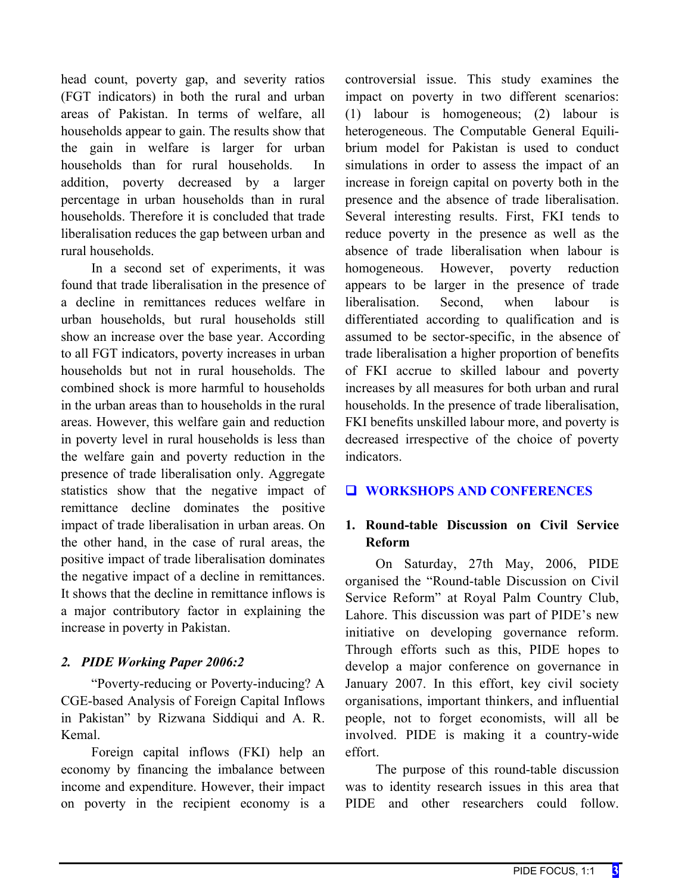head count, poverty gap, and severity ratios (FGT indicators) in both the rural and urban areas of Pakistan. In terms of welfare, all households appear to gain. The results show that the gain in welfare is larger for urban households than for rural households. In addition, poverty decreased by a larger percentage in urban households than in rural households. Therefore it is concluded that trade liberalisation reduces the gap between urban and rural households.

In a second set of experiments, it was found that trade liberalisation in the presence of a decline in remittances reduces welfare in urban households, but rural households still show an increase over the base year. According to all FGT indicators, poverty increases in urban households but not in rural households. The combined shock is more harmful to households in the urban areas than to households in the rural areas. However, this welfare gain and reduction in poverty level in rural households is less than the welfare gain and poverty reduction in the presence of trade liberalisation only. Aggregate statistics show that the negative impact of remittance decline dominates the positive impact of trade liberalisation in urban areas. On the other hand, in the case of rural areas, the positive impact of trade liberalisation dominates the negative impact of a decline in remittances. It shows that the decline in remittance inflows is a major contributory factor in explaining the increase in poverty in Pakistan.

### *2. PIDE Working Paper 2006:2*

"Poverty-reducing or Poverty-inducing? A CGE-based Analysis of Foreign Capital Inflows in Pakistan" by Rizwana Siddiqui and A. R. Kemal.

Foreign capital inflows (FKI) help an economy by financing the imbalance between income and expenditure. However, their impact on poverty in the recipient economy is a

controversial issue. This study examines the impact on poverty in two different scenarios: (1) labour is homogeneous; (2) labour is heterogeneous. The Computable General Equilibrium model for Pakistan is used to conduct simulations in order to assess the impact of an increase in foreign capital on poverty both in the presence and the absence of trade liberalisation. Several interesting results. First, FKI tends to reduce poverty in the presence as well as the absence of trade liberalisation when labour is homogeneous. However, poverty reduction appears to be larger in the presence of trade liberalisation. Second, when labour is differentiated according to qualification and is assumed to be sector-specific, in the absence of trade liberalisation a higher proportion of benefits of FKI accrue to skilled labour and poverty increases by all measures for both urban and rural households. In the presence of trade liberalisation, FKI benefits unskilled labour more, and poverty is decreased irrespective of the choice of poverty indicators.

## **WORKSHOPS AND CONFERENCES**

## **1. Round-table Discussion on Civil Service Reform**

On Saturday, 27th May, 2006, PIDE organised the "Round-table Discussion on Civil Service Reform" at Royal Palm Country Club, Lahore. This discussion was part of PIDE's new initiative on developing governance reform. Through efforts such as this, PIDE hopes to develop a major conference on governance in January 2007. In this effort, key civil society organisations, important thinkers, and influential people, not to forget economists, will all be involved. PIDE is making it a country-wide effort.

The purpose of this round-table discussion was to identity research issues in this area that PIDE and other researchers could follow.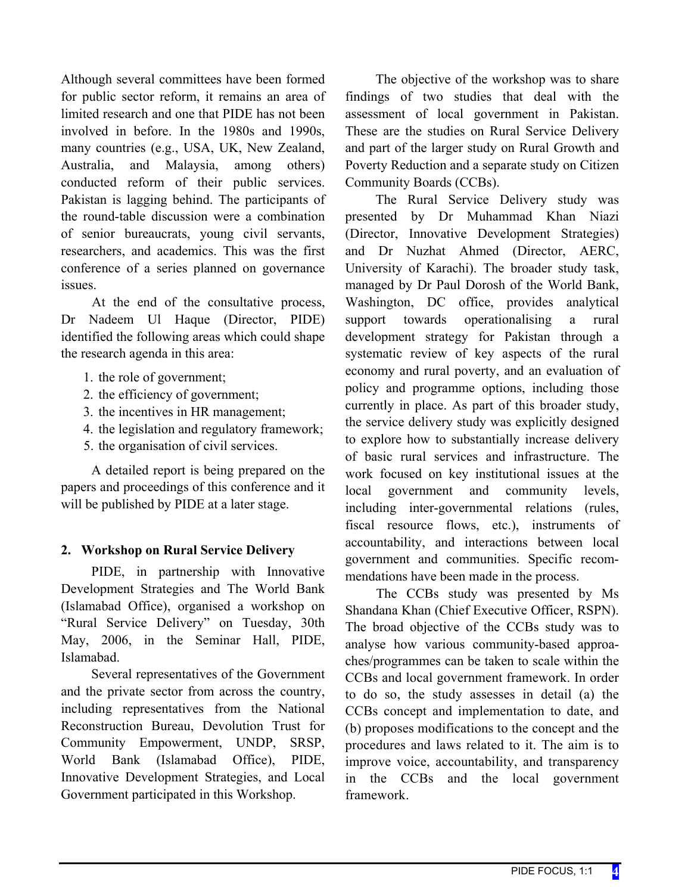Although several committees have been formed for public sector reform, it remains an area of limited research and one that PIDE has not been involved in before. In the 1980s and 1990s, many countries (e.g., USA, UK, New Zealand, Australia, and Malaysia, among others) conducted reform of their public services. Pakistan is lagging behind. The participants of the round-table discussion were a combination of senior bureaucrats, young civil servants, researchers, and academics. This was the first conference of a series planned on governance issues.

At the end of the consultative process, Dr Nadeem Ul Haque (Director, PIDE) identified the following areas which could shape the research agenda in this area:

- 1. the role of government;
- 2. the efficiency of government;
- 3. the incentives in HR management;
- 4. the legislation and regulatory framework;
- 5. the organisation of civil services.

A detailed report is being prepared on the papers and proceedings of this conference and it will be published by PIDE at a later stage.

## **2. Workshop on Rural Service Delivery**

PIDE, in partnership with Innovative Development Strategies and The World Bank (Islamabad Office), organised a workshop on "Rural Service Delivery" on Tuesday, 30th May, 2006, in the Seminar Hall, PIDE, Islamabad.

Several representatives of the Government and the private sector from across the country, including representatives from the National Reconstruction Bureau, Devolution Trust for Community Empowerment, UNDP, SRSP, World Bank (Islamabad Office), PIDE, Innovative Development Strategies, and Local Government participated in this Workshop.

The objective of the workshop was to share findings of two studies that deal with the assessment of local government in Pakistan. These are the studies on Rural Service Delivery and part of the larger study on Rural Growth and Poverty Reduction and a separate study on Citizen Community Boards (CCBs).

The Rural Service Delivery study was presented by Dr Muhammad Khan Niazi (Director, Innovative Development Strategies) and Dr Nuzhat Ahmed (Director, AERC, University of Karachi). The broader study task, managed by Dr Paul Dorosh of the World Bank, Washington, DC office, provides analytical support towards operationalising a rural development strategy for Pakistan through a systematic review of key aspects of the rural economy and rural poverty, and an evaluation of policy and programme options, including those currently in place. As part of this broader study, the service delivery study was explicitly designed to explore how to substantially increase delivery of basic rural services and infrastructure. The work focused on key institutional issues at the local government and community levels, including inter-governmental relations (rules, fiscal resource flows, etc.), instruments of accountability, and interactions between local government and communities. Specific recommendations have been made in the process.

The CCBs study was presented by Ms Shandana Khan (Chief Executive Officer, RSPN). The broad objective of the CCBs study was to analyse how various community-based approaches/programmes can be taken to scale within the CCBs and local government framework. In order to do so, the study assesses in detail (a) the CCBs concept and implementation to date, and (b) proposes modifications to the concept and the procedures and laws related to it. The aim is to improve voice, accountability, and transparency in the CCBs and the local government framework.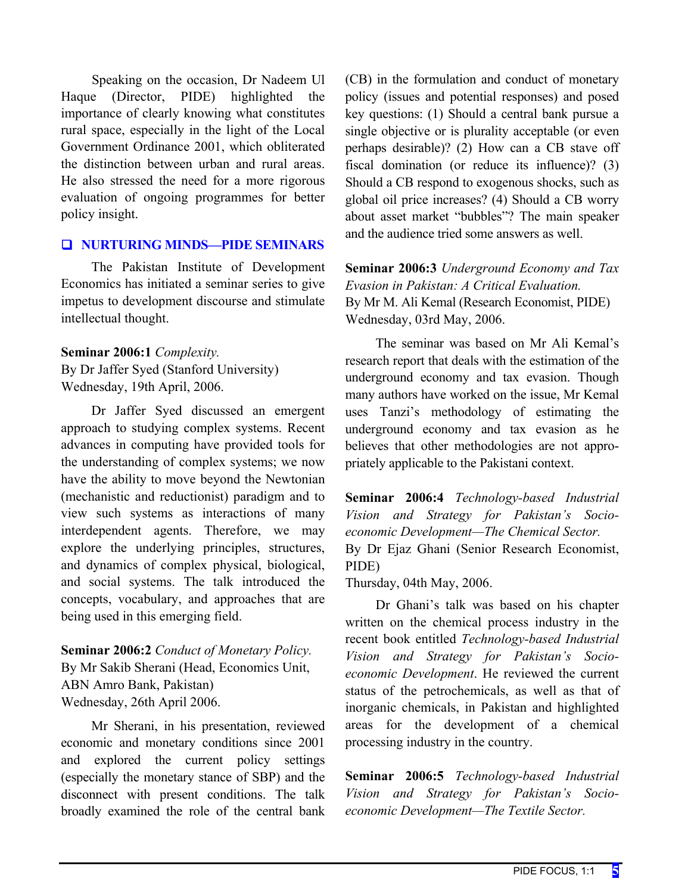Speaking on the occasion, Dr Nadeem Ul Haque (Director, PIDE) highlighted the importance of clearly knowing what constitutes rural space, especially in the light of the Local Government Ordinance 2001, which obliterated the distinction between urban and rural areas. He also stressed the need for a more rigorous evaluation of ongoing programmes for better policy insight.

#### **NURTURING MINDS—PIDE SEMINARS**

The Pakistan Institute of Development Economics has initiated a seminar series to give impetus to development discourse and stimulate intellectual thought.

#### **Seminar 2006:1** *Complexity.*

By Dr Jaffer Syed (Stanford University) Wednesday, 19th April, 2006.

Dr Jaffer Syed discussed an emergent approach to studying complex systems. Recent advances in computing have provided tools for the understanding of complex systems; we now have the ability to move beyond the Newtonian (mechanistic and reductionist) paradigm and to view such systems as interactions of many interdependent agents. Therefore, we may explore the underlying principles, structures, and dynamics of complex physical, biological, and social systems. The talk introduced the concepts, vocabulary, and approaches that are being used in this emerging field.

**Seminar 2006:2** *Conduct of Monetary Policy.*  By Mr Sakib Sherani (Head, Economics Unit, ABN Amro Bank, Pakistan) Wednesday, 26th April 2006.

Mr Sherani, in his presentation, reviewed economic and monetary conditions since 2001 and explored the current policy settings (especially the monetary stance of SBP) and the disconnect with present conditions. The talk broadly examined the role of the central bank (CB) in the formulation and conduct of monetary policy (issues and potential responses) and posed key questions: (1) Should a central bank pursue a single objective or is plurality acceptable (or even perhaps desirable)? (2) How can a CB stave off fiscal domination (or reduce its influence)? (3) Should a CB respond to exogenous shocks, such as global oil price increases? (4) Should a CB worry about asset market "bubbles"? The main speaker and the audience tried some answers as well.

**Seminar 2006:3** *Underground Economy and Tax Evasion in Pakistan: A Critical Evaluation.* By Mr M. Ali Kemal (Research Economist, PIDE) Wednesday, 03rd May, 2006.

The seminar was based on Mr Ali Kemal's research report that deals with the estimation of the underground economy and tax evasion. Though many authors have worked on the issue, Mr Kemal uses Tanzi's methodology of estimating the underground economy and tax evasion as he believes that other methodologies are not appropriately applicable to the Pakistani context.

**Seminar 2006:4** *Technology-based Industrial Vision and Strategy for Pakistan's Socioeconomic Development—The Chemical Sector.* By Dr Ejaz Ghani (Senior Research Economist, PIDE)

Thursday, 04th May, 2006.

Dr Ghani's talk was based on his chapter written on the chemical process industry in the recent book entitled *Technology-based Industrial Vision and Strategy for Pakistan's Socioeconomic Development*. He reviewed the current status of the petrochemicals, as well as that of inorganic chemicals, in Pakistan and highlighted areas for the development of a chemical processing industry in the country.

**Seminar 2006:5** *Technology-based Industrial Vision and Strategy for Pakistan's Socioeconomic Development—The Textile Sector.*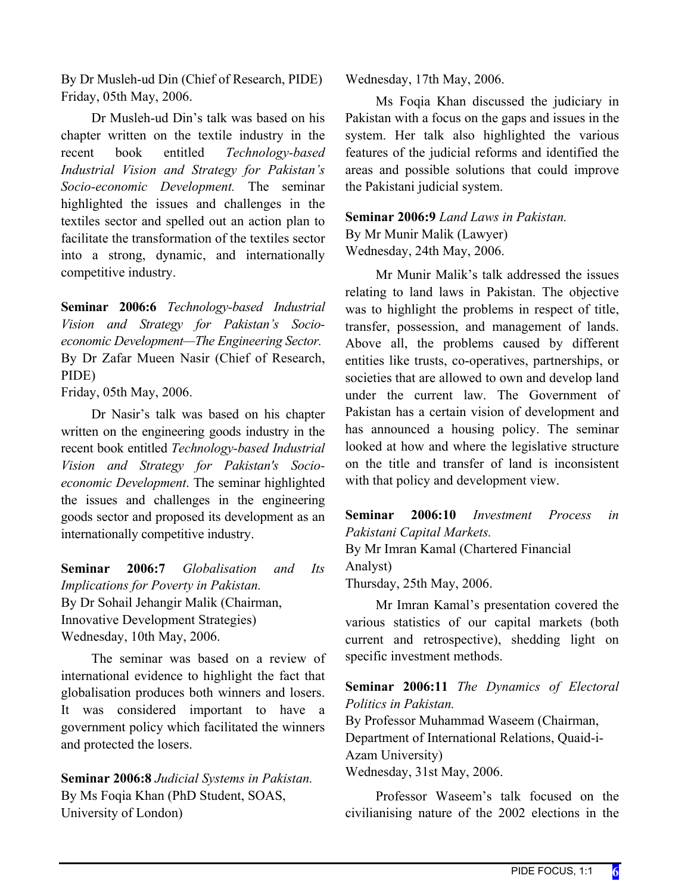By Dr Musleh-ud Din (Chief of Research, PIDE) Friday, 05th May, 2006.

Dr Musleh-ud Din's talk was based on his chapter written on the textile industry in the recent book entitled *Technology-based Industrial Vision and Strategy for Pakistan's Socio-economic Development.* The seminar highlighted the issues and challenges in the textiles sector and spelled out an action plan to facilitate the transformation of the textiles sector into a strong, dynamic, and internationally competitive industry.

**Seminar 2006:6** *Technology-based Industrial Vision and Strategy for Pakistan's Socioeconomic Development—The Engineering Sector.* By Dr Zafar Mueen Nasir (Chief of Research, PIDE)

Friday, 05th May, 2006.

Dr Nasir's talk was based on his chapter written on the engineering goods industry in the recent book entitled *Technology-based Industrial Vision and Strategy for Pakistan's Socioeconomic Development*. The seminar highlighted the issues and challenges in the engineering goods sector and proposed its development as an internationally competitive industry.

**Seminar 2006:7** *Globalisation and Its Implications for Poverty in Pakistan.* By Dr Sohail Jehangir Malik (Chairman, Innovative Development Strategies) Wednesday, 10th May, 2006.

The seminar was based on a review of international evidence to highlight the fact that globalisation produces both winners and losers. It was considered important to have a government policy which facilitated the winners and protected the losers.

**Seminar 2006:8** *Judicial Systems in Pakistan.* By Ms Foqia Khan (PhD Student, SOAS, University of London)

Wednesday, 17th May, 2006.

Ms Foqia Khan discussed the judiciary in Pakistan with a focus on the gaps and issues in the system. Her talk also highlighted the various features of the judicial reforms and identified the areas and possible solutions that could improve the Pakistani judicial system.

## **Seminar 2006:9** *Land Laws in Pakistan.* By Mr Munir Malik (Lawyer) Wednesday, 24th May, 2006.

Mr Munir Malik's talk addressed the issues relating to land laws in Pakistan. The objective was to highlight the problems in respect of title, transfer, possession, and management of lands. Above all, the problems caused by different entities like trusts, co-operatives, partnerships, or societies that are allowed to own and develop land under the current law. The Government of Pakistan has a certain vision of development and has announced a housing policy. The seminar looked at how and where the legislative structure on the title and transfer of land is inconsistent with that policy and development view.

**Seminar 2006:10** *Investment Process in Pakistani Capital Markets.* By Mr Imran Kamal (Chartered Financial Analyst)

Thursday, 25th May, 2006.

Mr Imran Kamal's presentation covered the various statistics of our capital markets (both current and retrospective), shedding light on specific investment methods.

**Seminar 2006:11** *The Dynamics of Electoral Politics in Pakistan.*

By Professor Muhammad Waseem (Chairman, Department of International Relations, Quaid-i-Azam University) Wednesday, 31st May, 2006.

Professor Waseem's talk focused on the civilianising nature of the 2002 elections in the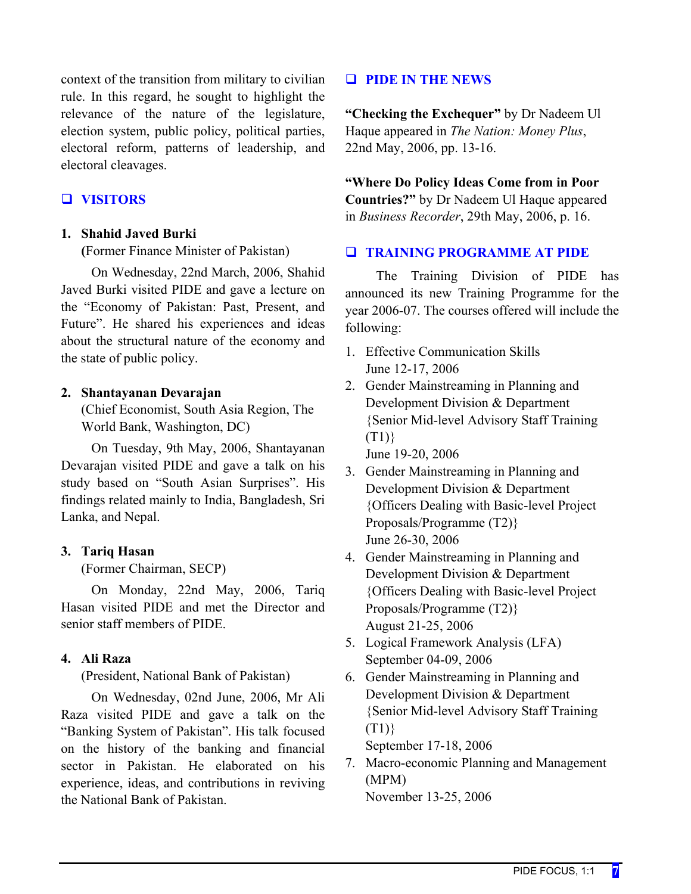context of the transition from military to civilian rule. In this regard, he sought to highlight the relevance of the nature of the legislature, election system, public policy, political parties, electoral reform, patterns of leadership, and electoral cleavages.

## **VISITORS**

#### **1. Shahid Javed Burki**

**(**Former Finance Minister of Pakistan)

On Wednesday, 22nd March, 2006, Shahid Javed Burki visited PIDE and gave a lecture on the "Economy of Pakistan: Past, Present, and Future". He shared his experiences and ideas about the structural nature of the economy and the state of public policy.

#### **2. Shantayanan Devarajan**

(Chief Economist, South Asia Region, The World Bank, Washington, DC)

On Tuesday, 9th May, 2006, Shantayanan Devarajan visited PIDE and gave a talk on his study based on "South Asian Surprises". His findings related mainly to India, Bangladesh, Sri Lanka, and Nepal.

#### **3. Tariq Hasan**

(Former Chairman, SECP)

On Monday, 22nd May, 2006, Tariq Hasan visited PIDE and met the Director and senior staff members of PIDE.

#### **4. Ali Raza**

(President, National Bank of Pakistan)

On Wednesday, 02nd June, 2006, Mr Ali Raza visited PIDE and gave a talk on the "Banking System of Pakistan". His talk focused on the history of the banking and financial sector in Pakistan. He elaborated on his experience, ideas, and contributions in reviving the National Bank of Pakistan.

### **PIDE IN THE NEWS**

**"Checking the Exchequer"** by Dr Nadeem Ul Haque appeared in *The Nation: Money Plus*, 22nd May, 2006, pp. 13-16.

**"Where Do Policy Ideas Come from in Poor Countries?"** by Dr Nadeem Ul Haque appeared in *Business Recorder*, 29th May, 2006, p. 16.

#### **TRAINING PROGRAMME AT PIDE**

The Training Division of PIDE has announced its new Training Programme for the year 2006-07. The courses offered will include the following:

- 1. Effective Communication Skills June 12-17, 2006
- 2. Gender Mainstreaming in Planning and Development Division & Department {Senior Mid-level Advisory Staff Training  $(T1)$

June 19-20, 2006

- 3. Gender Mainstreaming in Planning and Development Division & Department {Officers Dealing with Basic-level Project Proposals/Programme (T2)} June 26-30, 2006
- 4. Gender Mainstreaming in Planning and Development Division & Department {Officers Dealing with Basic-level Project Proposals/Programme (T2)} August 21-25, 2006
- 5. Logical Framework Analysis (LFA) September 04-09, 2006
- 6. Gender Mainstreaming in Planning and Development Division & Department {Senior Mid-level Advisory Staff Training (T1)}

September 17-18, 2006

7. Macro-economic Planning and Management (MPM)

November 13-25, 2006